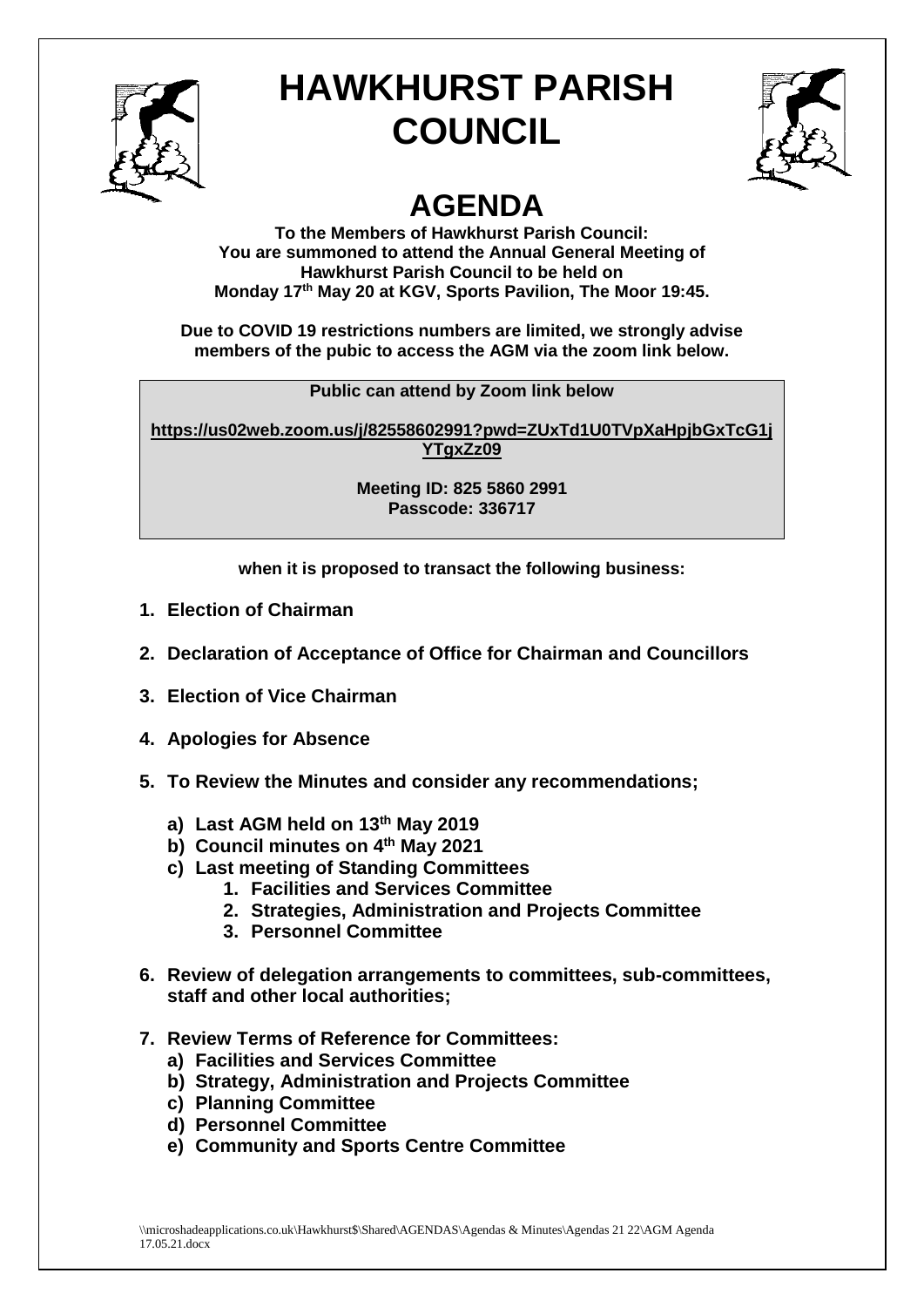

## **HAWKHURST PARISH COUNCIL**



## **AGENDA**

**To the Members of Hawkhurst Parish Council: You are summoned to attend the Annual General Meeting of Hawkhurst Parish Council to be held on Monday 17 th May 20 at KGV, Sports Pavilion, The Moor 19:45.**

**Due to COVID 19 restrictions numbers are limited, we strongly advise members of the pubic to access the AGM via the zoom link below.**

**Public can attend by Zoom link below**

**[https://us02web.zoom.us/j/82558602991?pwd=ZUxTd1U0TVpXaHpjbGxTcG1j](https://us02web.zoom.us/j/82558602991?pwd=ZUxTd1U0TVpXaHpjbGxTcG1jYTgxZz09) [YTgxZz09](https://us02web.zoom.us/j/82558602991?pwd=ZUxTd1U0TVpXaHpjbGxTcG1jYTgxZz09)**

> **Meeting ID: 825 5860 2991 Passcode: 336717**

**when it is proposed to transact the following business:**

- **1. Election of Chairman**
- **2. Declaration of Acceptance of Office for Chairman and Councillors**
- **3. Election of Vice Chairman**
- **4. Apologies for Absence**
- **5. To Review the Minutes and consider any recommendations;**
	- **a) Last AGM held on 13th May 2019**
	- **b) Council minutes on 4 th May 2021**
	- **c) Last meeting of Standing Committees**
		- **1. Facilities and Services Committee**
		- **2. Strategies, Administration and Projects Committee**
		- **3. Personnel Committee**
- **6. Review of delegation arrangements to committees, sub-committees, staff and other local authorities;**
- **7. Review Terms of Reference for Committees:**
	- **a) Facilities and Services Committee**
	- **b) Strategy, Administration and Projects Committee**
	- **c) Planning Committee**
	- **d) Personnel Committee**
	- **e) Community and Sports Centre Committee**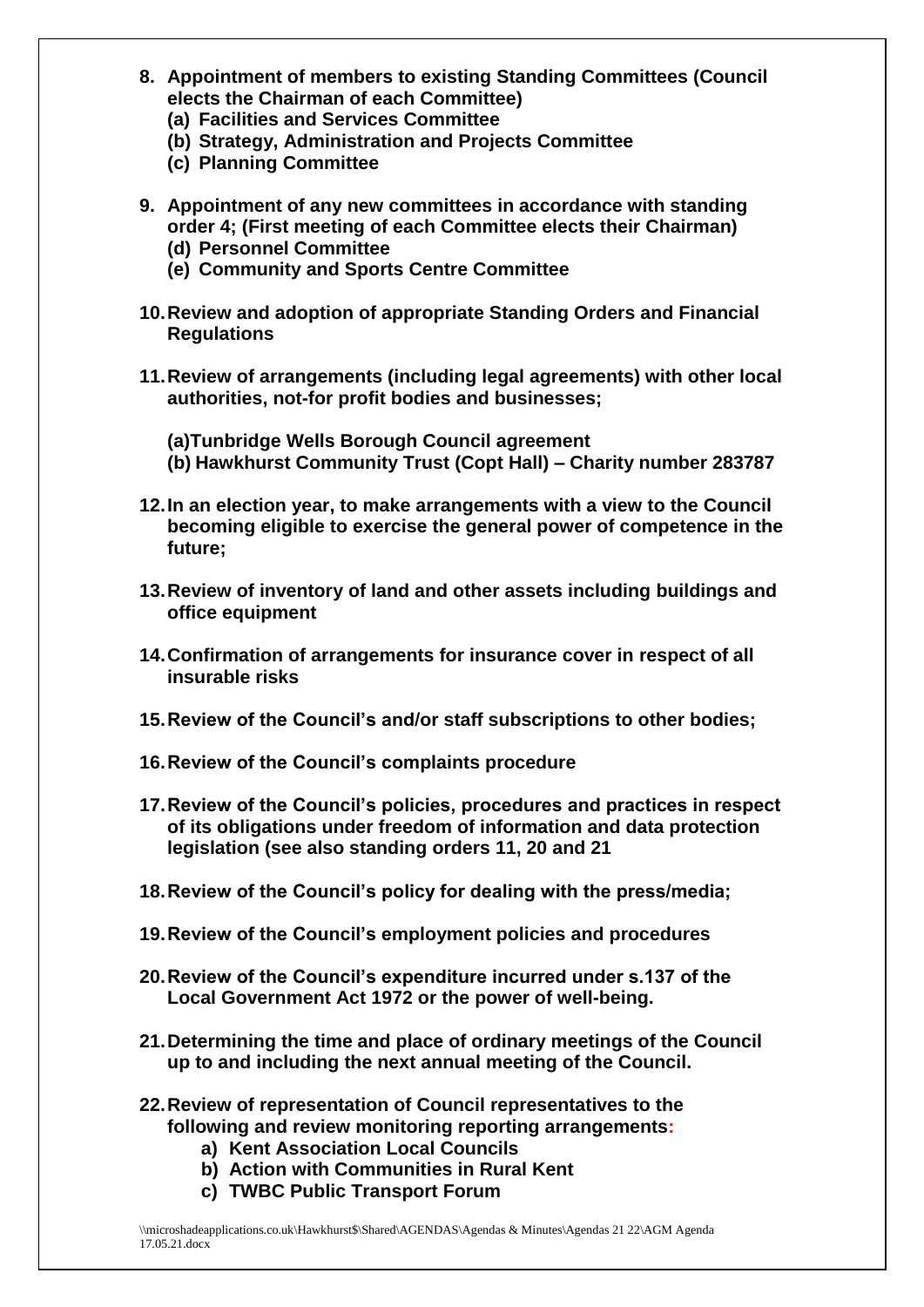- **8. Appointment of members to existing Standing Committees (Council elects the Chairman of each Committee)**
	- **(a) Facilities and Services Committee**
	- **(b) Strategy, Administration and Projects Committee**
	- **(c) Planning Committee**
- **9. Appointment of any new committees in accordance with standing order 4; (First meeting of each Committee elects their Chairman)**
	- **(d) Personnel Committee**
	- **(e) Community and Sports Centre Committee**
- **10.Review and adoption of appropriate Standing Orders and Financial Regulations**
- **11.Review of arrangements (including legal agreements) with other local authorities, not-for profit bodies and businesses;**
	- **(a)Tunbridge Wells Borough Council agreement**
	- **(b) Hawkhurst Community Trust (Copt Hall) – Charity number 283787**
- **12.In an election year, to make arrangements with a view to the Council becoming eligible to exercise the general power of competence in the future;**
- **13.Review of inventory of land and other assets including buildings and office equipment**
- **14.Confirmation of arrangements for insurance cover in respect of all insurable risks**
- **15.Review of the Council's and/or staff subscriptions to other bodies;**
- **16.Review of the Council's complaints procedure**
- **17.Review of the Council's policies, procedures and practices in respect of its obligations under freedom of information and data protection legislation (see also standing orders 11, 20 and 21**
- **18.Review of the Council's policy for dealing with the press/media;**
- **19.Review of the Council's employment policies and procedures**
- **20.Review of the Council's expenditure incurred under s.137 of the Local Government Act 1972 or the power of well-being.**
- **21.Determining the time and place of ordinary meetings of the Council up to and including the next annual meeting of the Council.**
- **22.Review of representation of Council representatives to the following and review monitoring reporting arrangements:** 
	- **a) Kent Association Local Councils**
	- **b) Action with Communities in Rural Kent**
	- **c) TWBC Public Transport Forum**

\\microshadeapplications.co.uk\Hawkhurst\$\Shared\AGENDAS\Agendas & Minutes\Agendas 21 22\AGM Agenda 17.05.21.docx